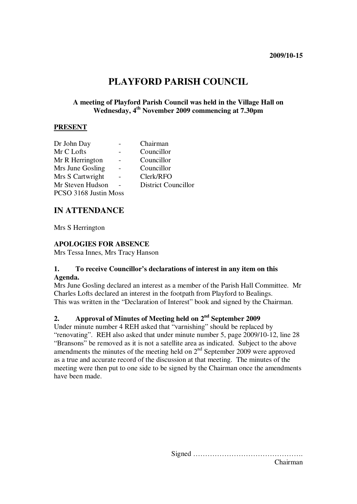# **PLAYFORD PARISH COUNCIL**

#### **A meeting of Playford Parish Council was held in the Village Hall on Wednesday, 4th November 2009 commencing at 7.30pm**

#### **PRESENT**

| Dr John Day           |  | Chairman                   |
|-----------------------|--|----------------------------|
| Mr C Lofts            |  | Councillor                 |
| Mr R Herrington       |  | Councillor                 |
| Mrs June Gosling      |  | Councillor                 |
| Mrs S Cartwright      |  | Clerk/RFO                  |
| Mr Steven Hudson      |  | <b>District Councillor</b> |
| PCSO 3168 Justin Moss |  |                            |
|                       |  |                            |

## **IN ATTENDANCE**

Mrs S Herrington

#### **APOLOGIES FOR ABSENCE**

Mrs Tessa Innes, Mrs Tracy Hanson

#### **1. To receive Councillor's declarations of interest in any item on this Agenda.**

Mrs June Gosling declared an interest as a member of the Parish Hall Committee. Mr Charles Lofts declared an interest in the footpath from Playford to Bealings. This was written in the "Declaration of Interest" book and signed by the Chairman.

## **2. Approval of Minutes of Meeting held on 2nd September 2009**

Under minute number 4 REH asked that "varnishing" should be replaced by "renovating". REH also asked that under minute number 5, page 2009/10-12, line 28 "Bransons" be removed as it is not a satellite area as indicated. Subject to the above amendments the minutes of the meeting held on  $2<sup>nd</sup>$  September 2009 were approved as a true and accurate record of the discussion at that meeting. The minutes of the meeting were then put to one side to be signed by the Chairman once the amendments have been made.

> Signed ………………………………………. Chairman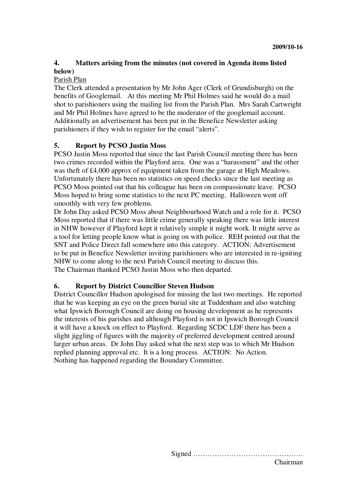## **4. Matters arising from the minutes (not covered in Agenda items listed below)**

#### Parish Plan

The Clerk attended a presentation by Mr John Ager (Clerk of Grundisburgh) on the benefits of Googlemail. At this meeting Mr Phil Holmes said he would do a mail shot to parishioners using the mailing list from the Parish Plan. Mrs Sarah Cartwright and Mr Phil Holmes have agreed to be the moderator of the googlemail account. Additionally an advertisement has been put in the Benefice Newsletter asking parishioners if they wish to register for the email "alerts".

#### **5. Report by PCSO Justin Moss**

PCSO Justin Moss reported that since the last Parish Council meeting there has been two crimes recorded within the Playford area. One was a "harassment" and the other was theft of £4,000 approx of equipment taken from the garage at High Meadows. Unfortunately there has been no statistics on speed checks since the last meeting as PCSO Moss pointed out that his colleague has been on compassionate leave. PCSO Moss hoped to bring some statistics to the next PC meeting. Halloween went off smoothly with very few problems.

Dr John Day asked PCSO Moss about Neighbourhood Watch and a role for it. PCSO Moss reported that if there was little crime generally speaking there was little interest in NHW however if Playford kept it relatively simple it might work. It might serve as a tool for letting people know what is going on with police. REH pointed out that the SNT and Police Direct fall somewhere into this category. ACTION: Advertisement to be put in Benefice Newsletter inviting parishioners who are interested in re-igniting NHW to come along to the next Parish Council meeting to discuss this. The Chairman thanked PCSO Justin Moss who then departed.

#### **6. Report by District Councillor Steven Hudson**

District Councillor Hudson apologised for missing the last two meetings. He reported that he was keeping an eye on the green burial site at Tuddenham and also watching what Ipswich Borough Council are doing on housing development as he represents the interests of his parishes and although Playford is not in Ipswich Borough Council it will have a knock on effect to Playford. Regarding SCDC LDF there has been a slight jiggling of figures with the majority of preferred development centred around larger urban areas. Dr John Day asked what the next step was to which Mr Hudson replied planning approval etc. It is a long process. ACTION: No Action. Nothing has happened regarding the Boundary Committee.

> Signed ………………………………………. Chairman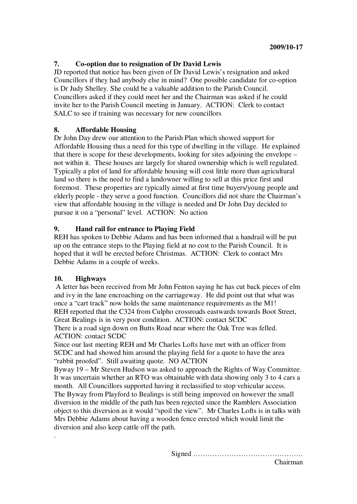### **7. Co-option due to resignation of Dr David Lewis**

JD reported that notice has been given of Dr David Lewis's resignation and asked Councillors if they had anybody else in mind? One possible candidate for co-option is Dr Judy Shelley. She could be a valuable addition to the Parish Council. Councillors asked if they could meet her and the Chairman was asked if he could invite her to the Parish Council meeting in January. ACTION: Clerk to contact SALC to see if training was necessary for new councillors

#### **8. Affordable Housing**

Dr John Day drew our attention to the Parish Plan which showed support for Affordable Housing thus a need for this type of dwelling in the village. He explained that there is scope for these developments, looking for sites adjoining the envelope – not within it. These houses are largely for shared ownership which is well regulated. Typically a plot of land for affordable housing will cost little more than agricultural land so there is the need to find a landowner willing to sell at this price first and foremost. These properties are typically aimed at first time buyers/young people and elderly people - they serve a good function. Councillors did not share the Chairman's view that affordable housing in the village is needed and Dr John Day decided to pursue it on a "personal" level. ACTION: No action

#### **9. Hand rail for entrance to Playing Field**

REH has spoken to Debbie Adams and has been informed that a handrail will be put up on the entrance steps to the Playing field at no cost to the Parish Council. It is hoped that it will be erected before Christmas. ACTION: Clerk to contact Mrs Debbie Adams in a couple of weeks.

#### **10. Highways**

.

 A letter has been received from Mr John Fenton saying he has cut back pieces of elm and ivy in the lane encroaching on the carriageway. He did point out that what was once a "cart track" now holds the same maintenance requirements as the M1! REH reported that the C324 from Culpho crossroads eastwards towards Boot Street, Great Bealings is in very poor condition. ACTION: contact SCDC There is a road sign down on Butts Road near where the Oak Tree was felled.

ACTION: contact SCDC

Since our last meeting REH and Mr Charles Lofts have met with an officer from SCDC and had showed him around the playing field for a quote to have the area "rabbit proofed". Still awaiting quote. NO ACTION

Byway 19 – Mr Steven Hudson was asked to approach the Rights of Way Committee. It was uncertain whether an RTO was obtainable with data showing only 3 to 4 cars a month. All Councillors supported having it reclassified to stop vehicular access. The Byway from Playford to Bealings is still being improved on however the small diversion in the middle of the path has been rejected since the Ramblers Association object to this diversion as it would "spoil the view". Mr Charles Lofts is in talks with Mrs Debbie Adams about having a wooden fence erected which would limit the diversion and also keep cattle off the path.

Signed ……………………………………….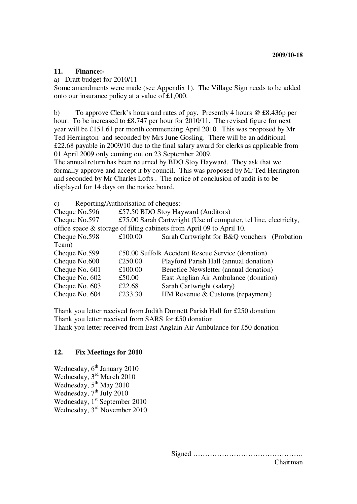#### **11. Finance:-**

#### a) Draft budget for 2010/11

Some amendments were made (see Appendix 1). The Village Sign needs to be added onto our insurance policy at a value of £1,000.

b) To approve Clerk's hours and rates of pay. Presently 4 hours @ £8.436p per hour. To be increased to £8.747 per hour for 2010/11. The revised figure for next year will be £151.61 per month commencing April 2010. This was proposed by Mr Ted Herrington and seconded by Mrs June Gosling. There will be an additional £22.68 payable in 2009/10 due to the final salary award for clerks as applicable from 01 April 2009 only coming out on 23 September 2009.

The annual return has been returned by BDO Stoy Hayward. They ask that we formally approve and accept it by council. This was proposed by Mr Ted Herrington and seconded by Mr Charles Lofts . The notice of conclusion of audit is to be displayed for 14 days on the notice board.

c) Reporting/Authorisation of cheques:- Cheque No.596 £57.50 BDO Stoy Hayward (Auditors) Cheque No.597 £75.00 Sarah Cartwright (Use of computer, tel line, electricity, office space & storage of filing cabinets from April 09 to April 10. Cheque No.598 £100.00 Sarah Cartwright for B&Q vouchers (Probation Team) Cheque No.599 £50.00 Suffolk Accident Rescue Service (donation) Cheque No.600 £250.00 Playford Parish Hall (annual donation) Cheque No. 601 £100.00 Benefice Newsletter (annual donation) Cheque No. 602 £50.00 East Anglian Air Ambulance (donation) Cheque No. 603 £22.68 Sarah Cartwright (salary) Cheque No. 604 £233.30 HM Revenue & Customs (repayment)

Thank you letter received from Judith Dunnett Parish Hall for £250 donation Thank you letter received from SARS for £50 donation Thank you letter received from East Anglain Air Ambulance for £50 donation

#### **12. Fix Meetings for 2010**

Wednesday,  $6<sup>th</sup>$  January 2010 Wednesday, 3<sup>rd</sup> March 2010 Wednesday,  $5<sup>th</sup>$  May 2010 Wednesday,  $7<sup>th</sup>$  July 2010 Wednesday,  $1<sup>st</sup>$  September 2010 Wednesday, 3rd November 2010

> Signed ………………………………………. Chairman